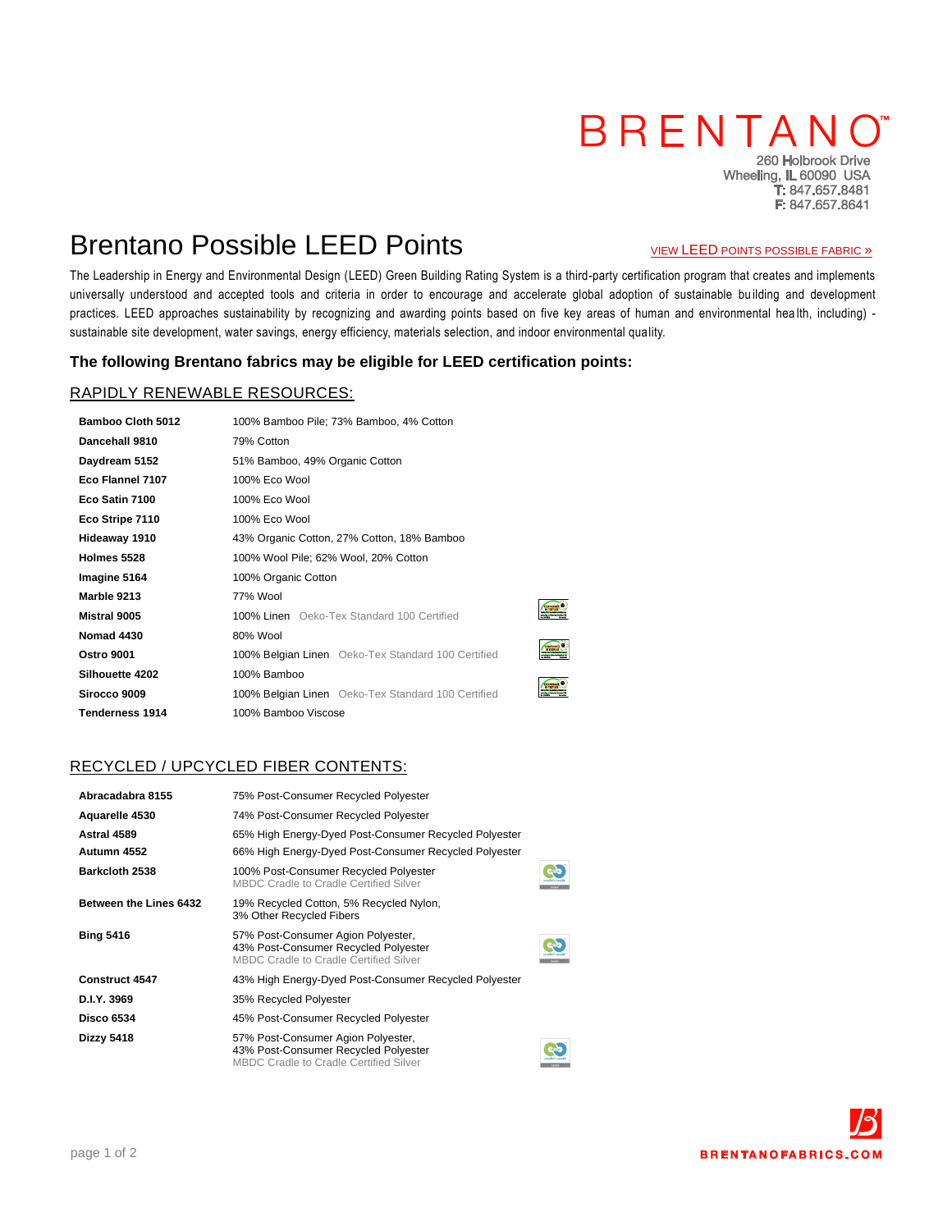# BRENTANO

260 Holbrook Drive Wheeling, IL 60090 USA T: 847.657.8481 F: 847.657.8641

### Brentano Possible LEED Points *DEPOINTS POINTS POINTS POSSIBLE FABRIC*

The Leadership in Energy and Environmental Design (LEED) Green Building Rating System is a third-party certification program that creates and implements universally understood and accepted tools and criteria in order to encourage and accelerate global adoption of sustainable bu ilding and development practices. LEED approaches sustainability by recognizing and awarding points based on five key areas of human and environmental health, including) sustainable site development, water savings, energy efficiency, materials selection, and indoor environmental quality.

#### **The following Brentano fabrics may be eligible for LEED certification points:**

#### RAPIDLY RENEWABLE RESOURCES:

| <b>Bamboo Cloth 5012</b> | 100% Bamboo Pile; 73% Bamboo, 4% Cotton                   |
|--------------------------|-----------------------------------------------------------|
| Dancehall 9810           | 79% Cotton                                                |
| Daydream 5152            | 51% Bamboo, 49% Organic Cotton                            |
| Eco Flannel 7107         | 100% Eco Wool                                             |
| Eco Satin 7100           | 100% Eco Wool                                             |
| Eco Stripe 7110          | 100% Eco Wool                                             |
| Hideaway 1910            | 43% Organic Cotton, 27% Cotton, 18% Bamboo                |
| Holmes 5528              | 100% Wool Pile; 62% Wool, 20% Cotton                      |
| Imagine 5164             | 100% Organic Cotton                                       |
| Marble 9213              | 77% Wool                                                  |
| Mistral 9005             | 100% Linen Oeko-Tex Standard 100 Certified                |
| <b>Nomad 4430</b>        | 80% Wool                                                  |
| <b>Ostro 9001</b>        | <b>100% Belgian Linen</b> Oeko-Tex Standard 100 Certified |
| Silhouette 4202          | 100% Bamboo                                               |
| Sirocco 9009             | 100% Belgian Linen Oeko-Tex Standard 100 Certified        |
| Tenderness 1914          | 100% Bamboo Viscose                                       |

### RECYCLED / UPCYCLED FIBER CONTENTS:

| Abracadabra 8155       | 75% Post-Consumer Recycled Polyester                                                                                        |  |
|------------------------|-----------------------------------------------------------------------------------------------------------------------------|--|
| Aquarelle 4530         | 74% Post-Consumer Recycled Polyester                                                                                        |  |
| Astral 4589            | 65% High Energy-Dyed Post-Consumer Recycled Polyester                                                                       |  |
| Autumn 4552            | 66% High Energy-Dyed Post-Consumer Recycled Polyester                                                                       |  |
| Barkcloth 2538         | 100% Post-Consumer Recycled Polyester<br>MBDC Cradle to Cradle Certified Silver                                             |  |
| Between the Lines 6432 | 19% Recycled Cotton, 5% Recycled Nylon,<br>3% Other Recycled Fibers                                                         |  |
| <b>Bing 5416</b>       | 57% Post-Consumer Agion Polyester,<br>43% Post-Consumer Recycled Polyester<br><b>MBDC Cradle to Cradle Certified Silver</b> |  |
| <b>Construct 4547</b>  | 43% High Energy-Dyed Post-Consumer Recycled Polyester                                                                       |  |
| D.I.Y. 3969            | 35% Recycled Polyester                                                                                                      |  |
| <b>Disco 6534</b>      | 45% Post-Consumer Recycled Polyester                                                                                        |  |
| <b>Dizzy 5418</b>      | 57% Post-Consumer Agion Polyester,<br>43% Post-Consumer Recycled Polyester<br><b>MBDC Cradle to Cradle Certified Silver</b> |  |